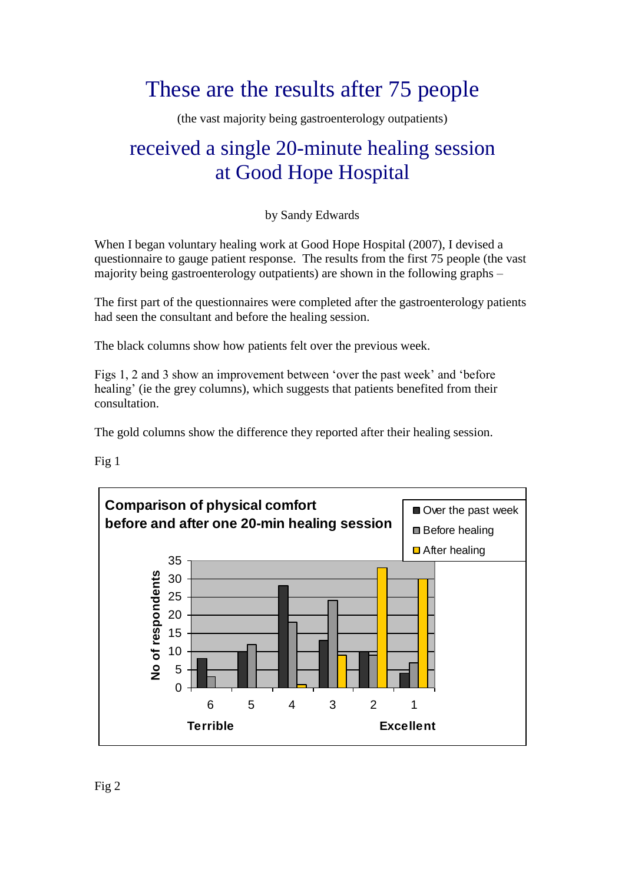# These are the results after 75 people

(the vast majority being gastroenterology outpatients)

## received a single 20-minute healing session at Good Hope Hospital

by Sandy Edwards

When I began voluntary healing work at Good Hope Hospital (2007), I devised a questionnaire to gauge patient response. The results from the first 75 people (the vast majority being gastroenterology outpatients) are shown in the following graphs –

The first part of the questionnaires were completed after the gastroenterology patients had seen the consultant and before the healing session.

The black columns show how patients felt over the previous week.

Figs 1, 2 and 3 show an improvement between 'over the past week' and 'before healing' (ie the grey columns), which suggests that patients benefited from their consultation.

The gold columns show the difference they reported after their healing session.

Fig 1

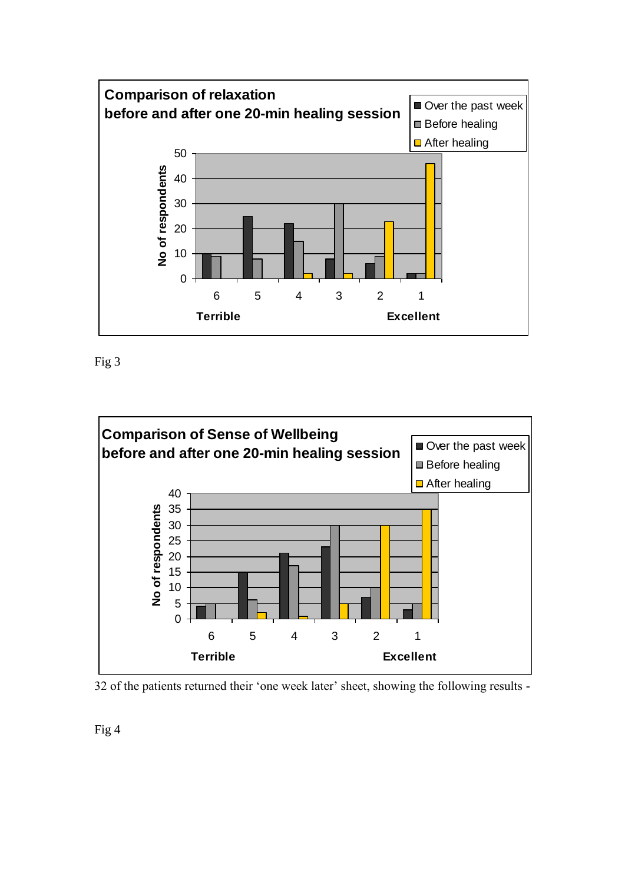

Fig 3



32 of the patients returned their 'one week later' sheet, showing the following results -

Fig 4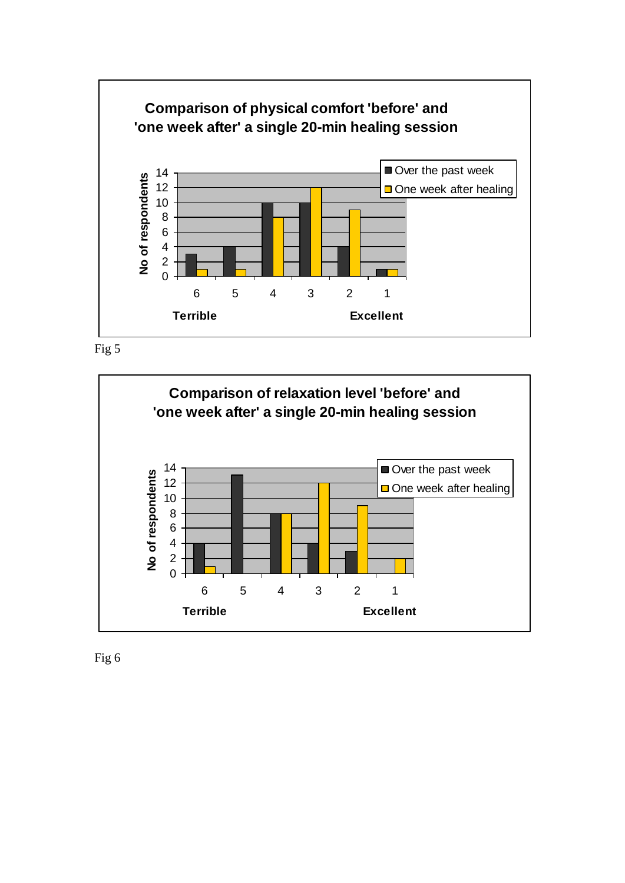





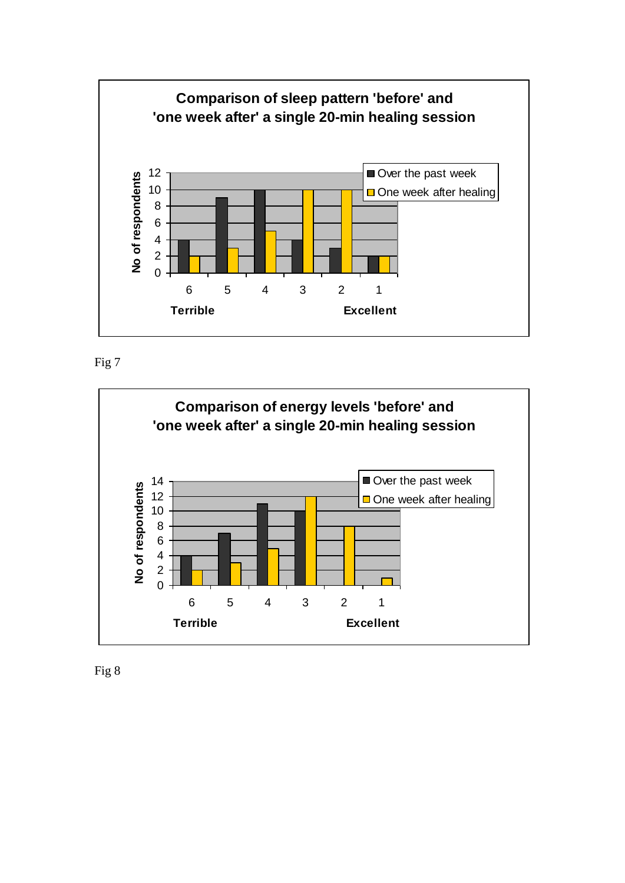





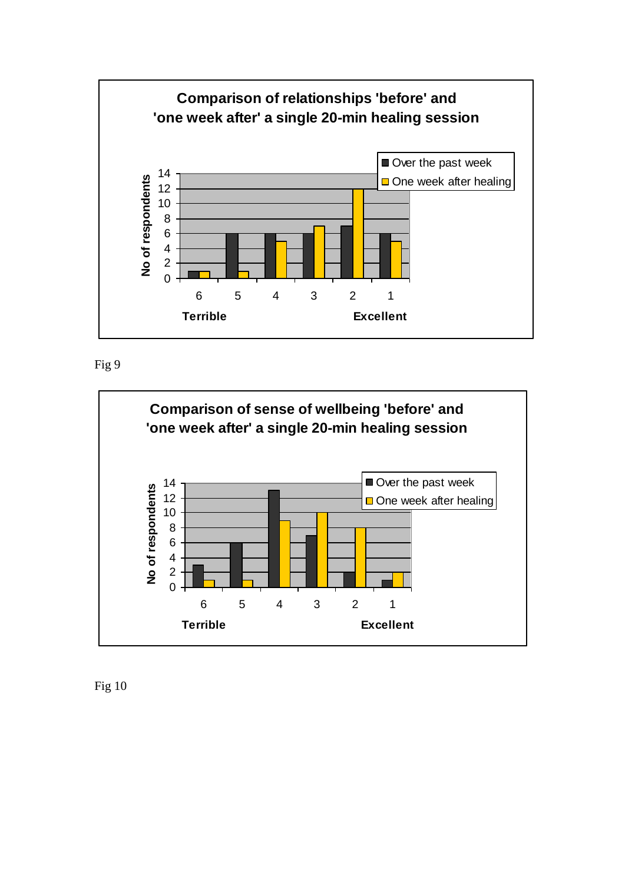

Fig 9



Fig 10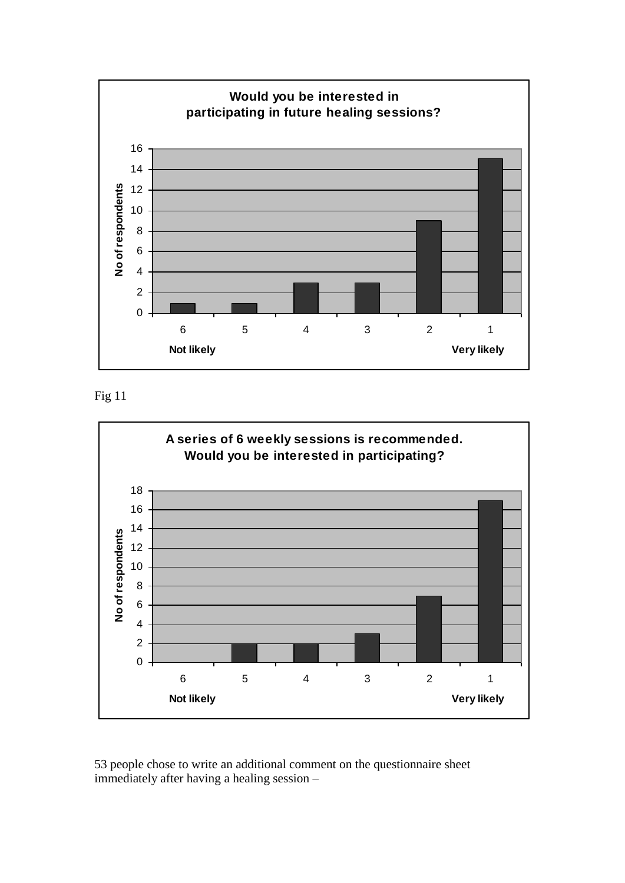

Fig 11



53 people chose to write an additional comment on the questionnaire sheet immediately after having a healing session –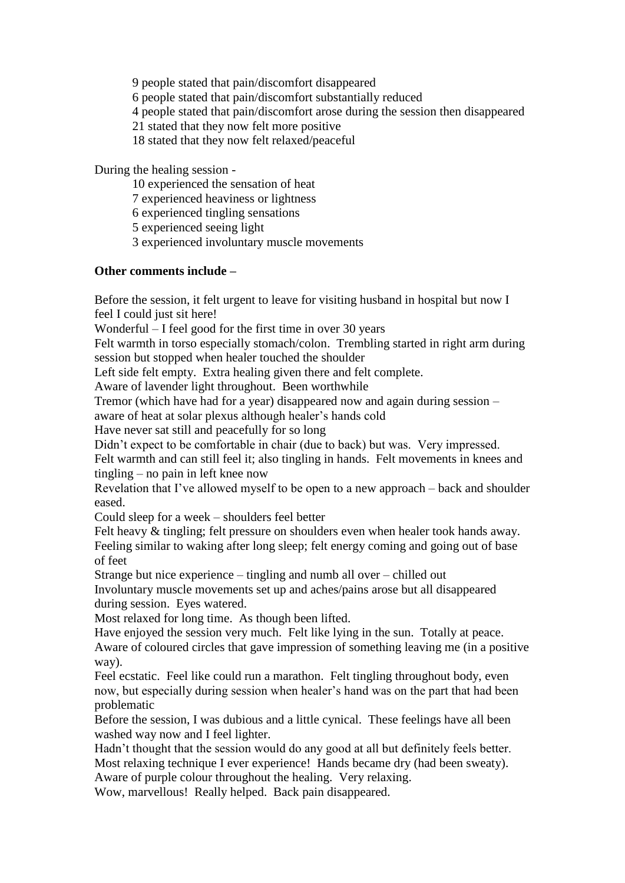9 people stated that pain/discomfort disappeared 6 people stated that pain/discomfort substantially reduced 4 people stated that pain/discomfort arose during the session then disappeared 21 stated that they now felt more positive 18 stated that they now felt relaxed/peaceful

During the healing session -

10 experienced the sensation of heat

7 experienced heaviness or lightness

6 experienced tingling sensations

5 experienced seeing light

3 experienced involuntary muscle movements

### **Other comments include –**

Before the session, it felt urgent to leave for visiting husband in hospital but now I feel I could just sit here!

Wonderful – I feel good for the first time in over 30 years

Felt warmth in torso especially stomach/colon. Trembling started in right arm during session but stopped when healer touched the shoulder

Left side felt empty. Extra healing given there and felt complete.

Aware of lavender light throughout. Been worthwhile

Tremor (which have had for a year) disappeared now and again during session –

aware of heat at solar plexus although healer's hands cold

Have never sat still and peacefully for so long

Didn't expect to be comfortable in chair (due to back) but was. Very impressed.

Felt warmth and can still feel it; also tingling in hands. Felt movements in knees and tingling – no pain in left knee now

Revelation that I've allowed myself to be open to a new approach – back and shoulder eased.

Could sleep for a week – shoulders feel better

Felt heavy & tingling; felt pressure on shoulders even when healer took hands away. Feeling similar to waking after long sleep; felt energy coming and going out of base of feet

Strange but nice experience – tingling and numb all over – chilled out

Involuntary muscle movements set up and aches/pains arose but all disappeared during session. Eyes watered.

Most relaxed for long time. As though been lifted.

Have enjoyed the session very much. Felt like lying in the sun. Totally at peace. Aware of coloured circles that gave impression of something leaving me (in a positive way).

Feel ecstatic. Feel like could run a marathon. Felt tingling throughout body, even now, but especially during session when healer's hand was on the part that had been problematic

Before the session, I was dubious and a little cynical. These feelings have all been washed way now and I feel lighter.

Hadn't thought that the session would do any good at all but definitely feels better. Most relaxing technique I ever experience! Hands became dry (had been sweaty).

Aware of purple colour throughout the healing. Very relaxing.

Wow, marvellous! Really helped. Back pain disappeared.